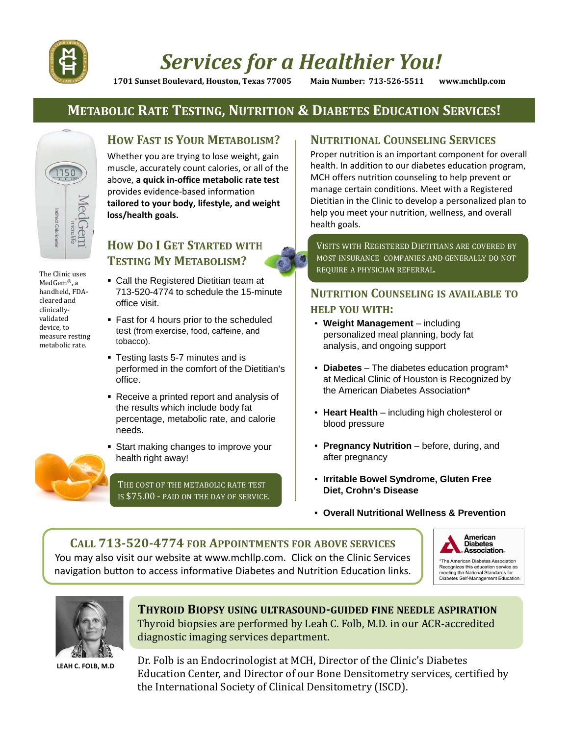

# *Services for a Healthier You!*

**1701 Sunset Boulevard, Houston, Texas 77005 Main Number: 713‐526‐5511 www.mchllp.com**

### **METABOLIC RATE TESTING, NUTRITION & DIABETES EDUCATION SERVICES!**



The Clinic uses MedGem<sup>®</sup>, a handheld, FDAcleared and clinically‐ validated device, to measure resting metabolic rate.

### **HOW FAST IS YOUR METABOLISM?**

Whether you are trying to lose weight, gain muscle, accurately count calories, or all of the above, **a quick in‐office metabolic rate test** provides evidence‐based information **tailored to your body, lifestyle, and weight loss/health goals.**

### **HOW DO I GET STARTED WITH TESTING MY METABOLISM?**

- Call the Registered Dietitian team at 713-520-4774 to schedule the 15-minute office visit.
- Fast for 4 hours prior to the scheduled test (from exercise, food, caffeine, and tobacco).
- Testing lasts 5-7 minutes and is performed in the comfort of the Dietitian's office.
- Receive a printed report and analysis of the results which include body fat percentage, metabolic rate, and calorie needs.
- **Start making changes to improve your** health right away!

THE COST OF THE METABOLIC RATE TEST IS \$75.00 - PAID ON THE DAY OF SERVICE.

### **NUTRITIONAL COUNSELING SERVICES**

Proper nutrition is an important component for overall health. In addition to our diabetes education program, MCH offers nutrition counseling to help prevent or manage certain conditions. Meet with a Registered Dietitian in the Clinic to develop a personalized plan to help you meet your nutrition, wellness, and overall health goals.

VISITS WITH REGISTERED DIETITIANS ARE COVERED BY MOST INSURANCE COMPANIES AND GENERALLY DO NOT REQUIRE A PHYSICIAN REFERRAL. 

### **NUTRITION COUNSELING IS AVAILABLE TO HELP YOU WITH:**

- **Weight Management**  including personalized meal planning, body fat analysis, and ongoing support
- **Diabetes** The diabetes education program\* at Medical Clinic of Houston is Recognized by the American Diabetes Association\*
- **Heart Health**  including high cholesterol or blood pressure
- **Pregnancy Nutrition** before, during, and after pregnancy
- **Irritable Bowel Syndrome, Gluten Free Diet, Crohn's Disease**
- **Overall Nutritional Wellness & Prevention**

## **CALL 713‐520‐4774 FOR APPOINTMENTS FOR ABOVE SERVICES**

You may also visit our website at www.mchllp.com. Click on the Clinic Services navigation button to access informative Diabetes and Nutrition Education links.





### **THYROID BIOPSY USING ULTRASOUND‐GUIDED FINE NEEDLE ASPIRATION** Thyroid biopsies are performed by Leah C. Folb, M.D. in our ACR-accredited diagnostic imaging services department.

LEAH C. FOLB, M.D Dr. Folb is an Endocrinologist at MCH, Director of the Clinic's Diabetes Education Center, and Director of our Bone Densitometry services, certified by the International Society of Clinical Densitometry (ISCD).